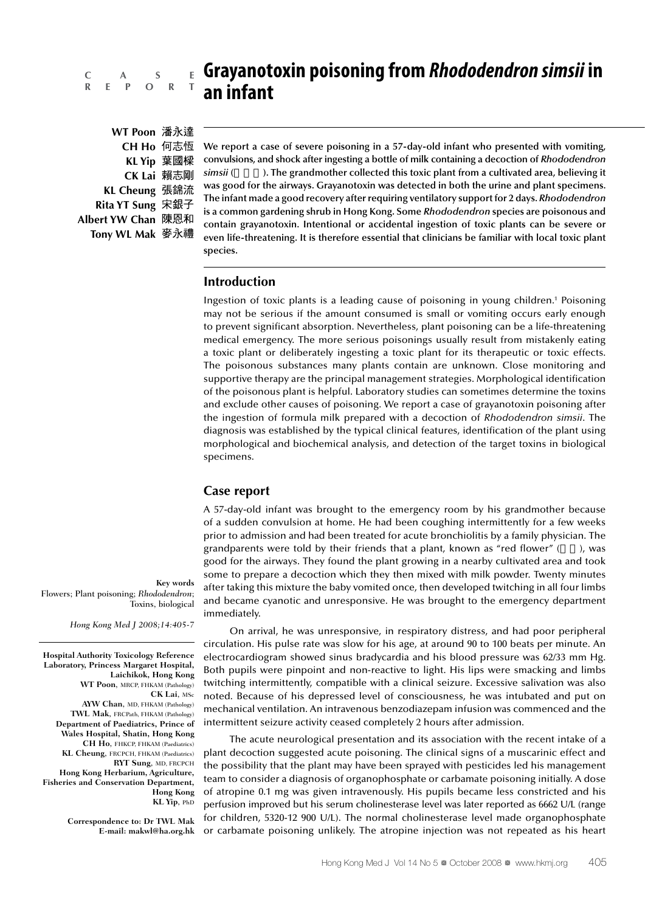## **C A S E R E P O R T**

# **Grayanotoxin poisoning from** *Rhododendron simsii* **in an infant**

**WT Poon CH Ho KL Yip CK Lai KL Cheung Rita YT Sung Albert YW Chan Tony WL Mak**

**We report a case of severe poisoning in a 57-day-old infant who presented with vomiting, convulsions, and shock after ingesting a bottle of milk containing a decoction of** *Rhododendron simsii* (). The grandmother collected this toxic plant from a cultivated area, believing it **was good for the airways. Grayanotoxin was detected in both the urine and plant specimens. The infant made a good recovery after requiring ventilatory support for 2 days.** *Rhododendron* **is a common gardening shrub in Hong Kong. Some** *Rhododendron* **species are poisonous and contain grayanotoxin. Intentional or accidental ingestion of toxic plants can be severe or even life-threatening. It is therefore essential that clinicians be familiar with local toxic plant species.**

### **Introduction**

Ingestion of toxic plants is a leading cause of poisoning in young children.1 Poisoning may not be serious if the amount consumed is small or vomiting occurs early enough to prevent significant absorption. Nevertheless, plant poisoning can be a life-threatening medical emergency. The more serious poisonings usually result from mistakenly eating a toxic plant or deliberately ingesting a toxic plant for its therapeutic or toxic effects. The poisonous substances many plants contain are unknown. Close monitoring and supportive therapy are the principal management strategies. Morphological identification of the poisonous plant is helpful. Laboratory studies can sometimes determine the toxins and exclude other causes of poisoning. We report a case of grayanotoxin poisoning after the ingestion of formula milk prepared with a decoction of *Rhododendron simsii*. The diagnosis was established by the typical clinical features, identification of the plant using morphological and biochemical analysis, and detection of the target toxins in biological specimens.

### **Case report**

A 57-day-old infant was brought to the emergency room by his grandmother because of a sudden convulsion at home. He had been coughing intermittently for a few weeks prior to admission and had been treated for acute bronchiolitis by a family physician. The grandparents were told by their friends that a plant, known as "red flower"  $($ , was good for the airways. They found the plant growing in a nearby cultivated area and took some to prepare a decoction which they then mixed with milk powder. Twenty minutes after taking this mixture the baby vomited once, then developed twitching in all four limbs and became cyanotic and unresponsive. He was brought to the emergency department immediately.

**Key words** Flowers; Plant poisoning; *Rhododendron*; Toxins, biological

*Hong Kong Med J 2008;14:405-7*

**Hospital Authority Toxicology Reference Laboratory, Princess Margaret Hospital, Laichikok, Hong Kong WT Poon**, MRCP, FHKAM (Pathology) **CK Lai**, MSc **AYW Chan**, MD, FHKAM (Pathology) **TWL Mak**, FRCPath, FHKAM (Pathology) **Department of Paediatrics, Prince of Wales Hospital, Shatin, Hong Kong CH Ho**, FHKCP, FHKAM (Paediatrics) **KL Cheung**, FRCPCH, FHKAM (Paediatrics) **RYT Sung**, MD, FRCPCH **Hong Kong Herbarium, Agriculture, Fisheries and Conservation Department, Hong Kong KL Yip**, PhD

> **Correspondence to: Dr TWL Mak E-mail: makwl@ha.org.hk**

On arrival, he was unresponsive, in respiratory distress, and had poor peripheral circulation. His pulse rate was slow for his age, at around 90 to 100 beats per minute. An electrocardiogram showed sinus bradycardia and his blood pressure was 62/33 mm Hg. Both pupils were pinpoint and non-reactive to light. His lips were smacking and limbs twitching intermittently, compatible with a clinical seizure. Excessive salivation was also noted. Because of his depressed level of consciousness, he was intubated and put on mechanical ventilation. An intravenous benzodiazepam infusion was commenced and the intermittent seizure activity ceased completely 2 hours after admission.

The acute neurological presentation and its association with the recent intake of a plant decoction suggested acute poisoning. The clinical signs of a muscarinic effect and the possibility that the plant may have been sprayed with pesticides led his management team to consider a diagnosis of organophosphate or carbamate poisoning initially. A dose of atropine 0.1 mg was given intravenously. His pupils became less constricted and his perfusion improved but his serum cholinesterase level was later reported as 6662 U/L (range for children, 5320-12 900 U/L). The normal cholinesterase level made organophosphate or carbamate poisoning unlikely. The atropine injection was not repeated as his heart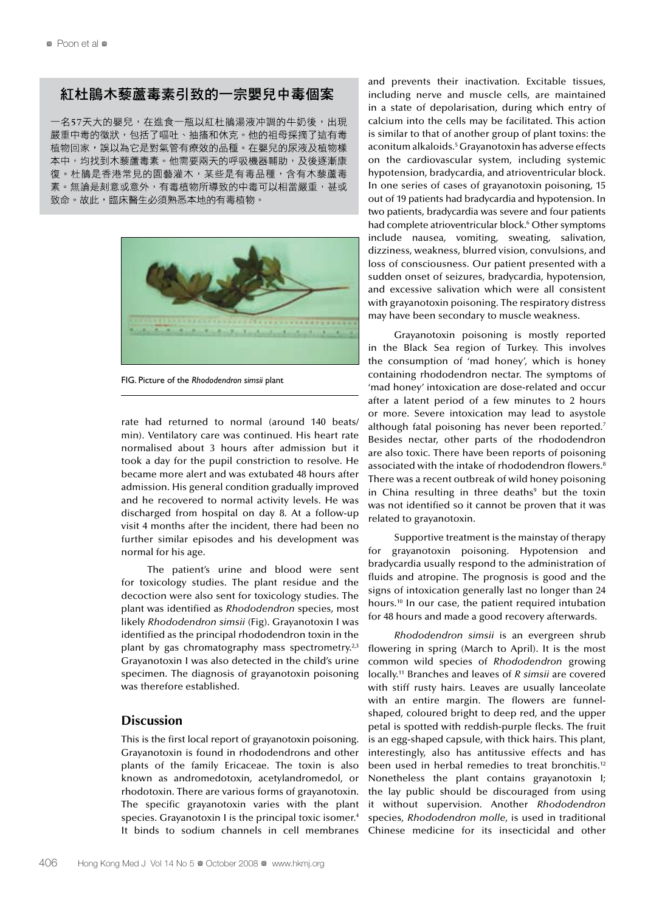# 紅杜鵑木藜蘆毒素引致的一宗嬰兒中毒個案

一名57天大的嬰兒,在進食一瓶以紅杜鵑湯液冲調的牛奶後,出現 嚴重中毒的徵狀,包括了嘔吐、抽搐和休克。他的祖母採摘了這有毒 植物回家,誤以為它是對氣管有療效的品種。在嬰兒的尿液及植物樣 本中,均找到木藜蘆毒素。他需要兩天的呼吸機器輔助,及後逐漸康 復。杜鵑是香港常見的園藝灌木,某些是有毒品種,含有木藜蘆毒 素。無論是刻意或意外,有毒植物所導致的中毒可以相當嚴重,甚或 致命。故此,臨床醫生必須熟悉本地的有毒植物。



FIG. Picture of the *Rhododendron simsii* plant

rate had returned to normal (around 140 beats/ min). Ventilatory care was continued. His heart rate normalised about 3 hours after admission but it took a day for the pupil constriction to resolve. He became more alert and was extubated 48 hours after admission. His general condition gradually improved and he recovered to normal activity levels. He was discharged from hospital on day 8. At a follow-up visit 4 months after the incident, there had been no further similar episodes and his development was normal for his age.

The patient's urine and blood were sent for toxicology studies. The plant residue and the decoction were also sent for toxicology studies. The plant was identified as *Rhododendron* species, most likely *Rhododendron simsii* (Fig). Grayanotoxin I was identified as the principal rhododendron toxin in the plant by gas chromatography mass spectrometry.<sup>2,3</sup> Grayanotoxin I was also detected in the child's urine specimen. The diagnosis of grayanotoxin poisoning was therefore established.

# **Discussion**

This is the first local report of grayanotoxin poisoning. Grayanotoxin is found in rhododendrons and other plants of the family Ericaceae. The toxin is also known as andromedotoxin, acetylandromedol, or rhodotoxin. There are various forms of grayanotoxin. The specific grayanotoxin varies with the plant species. Grayanotoxin I is the principal toxic isomer.<sup>4</sup> It binds to sodium channels in cell membranes and prevents their inactivation. Excitable tissues, including nerve and muscle cells, are maintained in a state of depolarisation, during which entry of calcium into the cells may be facilitated. This action is similar to that of another group of plant toxins: the aconitum alkaloids.5 Grayanotoxin has adverse effects on the cardiovascular system, including systemic hypotension, bradycardia, and atrioventricular block. In one series of cases of grayanotoxin poisoning, 15 out of 19 patients had bradycardia and hypotension. In two patients, bradycardia was severe and four patients had complete atrioventricular block.<sup>6</sup> Other symptoms include nausea, vomiting, sweating, salivation, dizziness, weakness, blurred vision, convulsions, and loss of consciousness. Our patient presented with a sudden onset of seizures, bradycardia, hypotension, and excessive salivation which were all consistent with grayanotoxin poisoning. The respiratory distress may have been secondary to muscle weakness.

Grayanotoxin poisoning is mostly reported in the Black Sea region of Turkey. This involves the consumption of 'mad honey', which is honey containing rhododendron nectar. The symptoms of 'mad honey' intoxication are dose-related and occur after a latent period of a few minutes to 2 hours or more. Severe intoxication may lead to asystole although fatal poisoning has never been reported.<sup>7</sup> Besides nectar, other parts of the rhododendron are also toxic. There have been reports of poisoning associated with the intake of rhododendron flowers.<sup>8</sup> There was a recent outbreak of wild honey poisoning in China resulting in three deaths<sup>9</sup> but the toxin was not identified so it cannot be proven that it was related to grayanotoxin.

Supportive treatment is the mainstay of therapy for grayanotoxin poisoning. Hypotension and bradycardia usually respond to the administration of fluids and atropine. The prognosis is good and the signs of intoxication generally last no longer than 24 hours.10 In our case, the patient required intubation for 48 hours and made a good recovery afterwards.

*Rhododendron simsii* is an evergreen shrub flowering in spring (March to April). It is the most common wild species of *Rhododendron* growing locally.11 Branches and leaves of *R simsii* are covered with stiff rusty hairs. Leaves are usually lanceolate with an entire margin. The flowers are funnelshaped, coloured bright to deep red, and the upper petal is spotted with reddish-purple flecks. The fruit is an egg-shaped capsule, with thick hairs. This plant, interestingly, also has antitussive effects and has been used in herbal remedies to treat bronchitis.<sup>12</sup> Nonetheless the plant contains grayanotoxin I; the lay public should be discouraged from using it without supervision. Another *Rhododendron* species, *Rhododendron molle*, is used in traditional Chinese medicine for its insecticidal and other